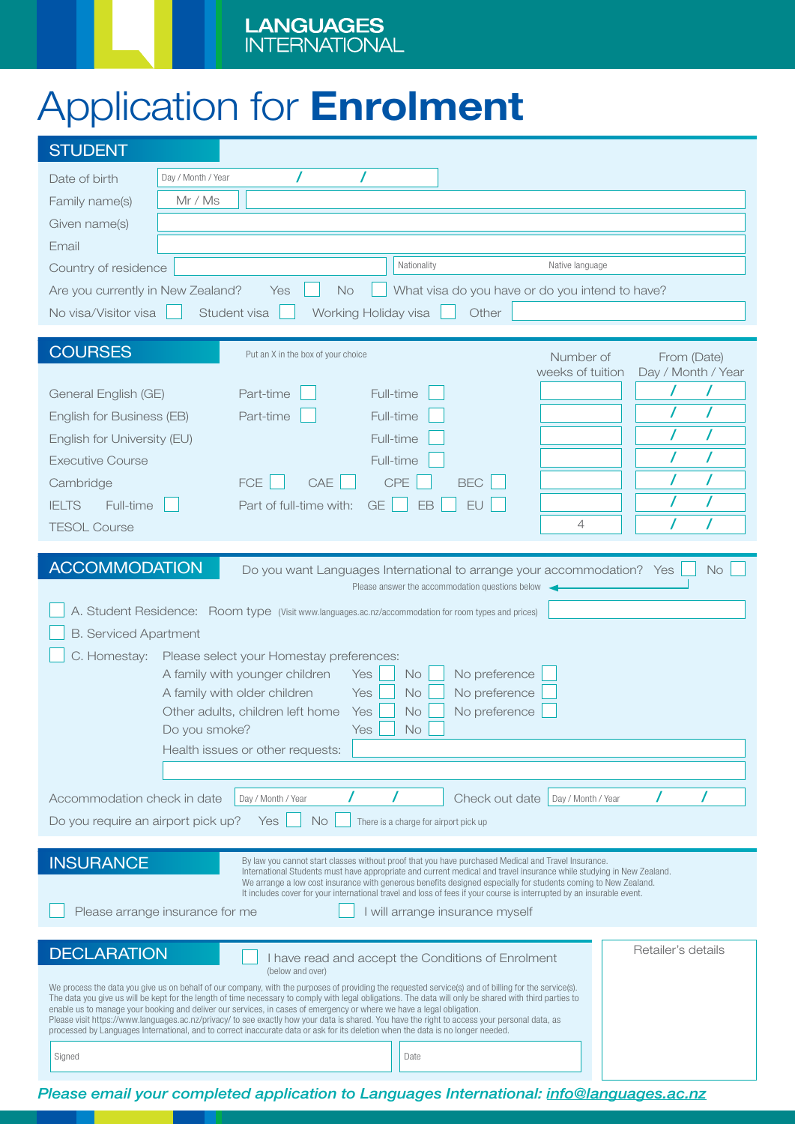# Application for Enrolment

| <b>STUDENT</b>                                                                                                                                                                                                                                                                                                                                                                                                                                                                                                                                                                                                                                                                                                                                                                                                                                                              |                                        |
|-----------------------------------------------------------------------------------------------------------------------------------------------------------------------------------------------------------------------------------------------------------------------------------------------------------------------------------------------------------------------------------------------------------------------------------------------------------------------------------------------------------------------------------------------------------------------------------------------------------------------------------------------------------------------------------------------------------------------------------------------------------------------------------------------------------------------------------------------------------------------------|----------------------------------------|
| Day / Month / Year<br>Date of birth                                                                                                                                                                                                                                                                                                                                                                                                                                                                                                                                                                                                                                                                                                                                                                                                                                         |                                        |
| Mr / Ms<br>Family name(s)                                                                                                                                                                                                                                                                                                                                                                                                                                                                                                                                                                                                                                                                                                                                                                                                                                                   |                                        |
| Given name(s)                                                                                                                                                                                                                                                                                                                                                                                                                                                                                                                                                                                                                                                                                                                                                                                                                                                               |                                        |
| Email                                                                                                                                                                                                                                                                                                                                                                                                                                                                                                                                                                                                                                                                                                                                                                                                                                                                       |                                        |
| Nationality<br>Country of residence                                                                                                                                                                                                                                                                                                                                                                                                                                                                                                                                                                                                                                                                                                                                                                                                                                         | Native language                        |
| Are you currently in New Zealand?<br><b>No</b><br>What visa do you have or do you intend to have?<br>Yes                                                                                                                                                                                                                                                                                                                                                                                                                                                                                                                                                                                                                                                                                                                                                                    |                                        |
| No visa/Visitor visa<br>Student visa<br>Other<br>Working Holiday visa                                                                                                                                                                                                                                                                                                                                                                                                                                                                                                                                                                                                                                                                                                                                                                                                       |                                        |
| <b>COURSES</b><br>Put an X in the box of your choice                                                                                                                                                                                                                                                                                                                                                                                                                                                                                                                                                                                                                                                                                                                                                                                                                        | Number of<br>From (Date)               |
|                                                                                                                                                                                                                                                                                                                                                                                                                                                                                                                                                                                                                                                                                                                                                                                                                                                                             | weeks of tuition<br>Day / Month / Year |
| Full-time<br>General English (GE)<br>Part-time                                                                                                                                                                                                                                                                                                                                                                                                                                                                                                                                                                                                                                                                                                                                                                                                                              |                                        |
| Full-time<br>Part-time<br>English for Business (EB)                                                                                                                                                                                                                                                                                                                                                                                                                                                                                                                                                                                                                                                                                                                                                                                                                         |                                        |
| Full-time<br>English for University (EU)                                                                                                                                                                                                                                                                                                                                                                                                                                                                                                                                                                                                                                                                                                                                                                                                                                    |                                        |
| Full-time<br><b>Executive Course</b>                                                                                                                                                                                                                                                                                                                                                                                                                                                                                                                                                                                                                                                                                                                                                                                                                                        |                                        |
| CAE<br><b>CPE</b><br><b>FCE</b><br>Cambridge                                                                                                                                                                                                                                                                                                                                                                                                                                                                                                                                                                                                                                                                                                                                                                                                                                | <b>BEC</b>                             |
| <b>IELTS</b><br>Full-time<br>Part of full-time with:<br><b>GE</b><br>EB                                                                                                                                                                                                                                                                                                                                                                                                                                                                                                                                                                                                                                                                                                                                                                                                     | EU                                     |
| <b>TESOL Course</b>                                                                                                                                                                                                                                                                                                                                                                                                                                                                                                                                                                                                                                                                                                                                                                                                                                                         | $\overline{4}$                         |
| <b>ACCOMMODATION</b><br>Do you want Languages International to arrange your accommodation? Yes<br><b>No</b><br>Please answer the accommodation questions below<br>A. Student Residence: Room type (Visit www.languages.ac.nz/accommodation for room types and prices)<br><b>B. Serviced Apartment</b><br>C. Homestay:<br>Please select your Homestay preferences:<br>A family with younger children<br>No preference<br>Yes<br><b>No</b><br>A family with older children<br><b>No</b><br>No preference<br>Yes<br>No preference<br>Other adults, children left home<br><b>No</b><br>Yes<br>$Yes \bigsqcup No \bigsqcup$<br>Do you smoke?<br>Health issues or other requests:<br>Accommodation check in date<br>Day / Month / Year<br>Check out date<br>Day / Month / Year<br>Do you require an airport pick up?<br><b>No</b><br>Yes<br>There is a charge for airport pick up |                                        |
| <b>INSURANCE</b><br>By law you cannot start classes without proof that you have purchased Medical and Travel Insurance.                                                                                                                                                                                                                                                                                                                                                                                                                                                                                                                                                                                                                                                                                                                                                     |                                        |
| International Students must have appropriate and current medical and travel insurance while studying in New Zealand.<br>We arrange a low cost insurance with generous benefits designed especially for students coming to New Zealand.<br>It includes cover for your international travel and loss of fees if your course is interrupted by an insurable event.<br>Please arrange insurance for me<br>I will arrange insurance myself                                                                                                                                                                                                                                                                                                                                                                                                                                       |                                        |
| <b>DECLARATION</b><br>I have read and accept the Conditions of Enrolment<br>(below and over)                                                                                                                                                                                                                                                                                                                                                                                                                                                                                                                                                                                                                                                                                                                                                                                | Retailer's details                     |
| We process the data you give us on behalf of our company, with the purposes of providing the requested service(s) and of billing for the service(s).<br>The data you give us will be kept for the length of time necessary to comply with legal obligations. The data will only be shared with third parties to<br>enable us to manage your booking and deliver our services, in cases of emergency or where we have a legal obligation.<br>Please visit https://www.languages.ac.nz/privacy/ to see exactly how your data is shared. You have the right to access your personal data, as<br>processed by Languages International, and to correct inaccurate data or ask for its deletion when the data is no longer needed.                                                                                                                                                |                                        |
| Signed<br>Date                                                                                                                                                                                                                                                                                                                                                                                                                                                                                                                                                                                                                                                                                                                                                                                                                                                              |                                        |

*Please email your completed application to Languages International: info@languages.ac.nz*